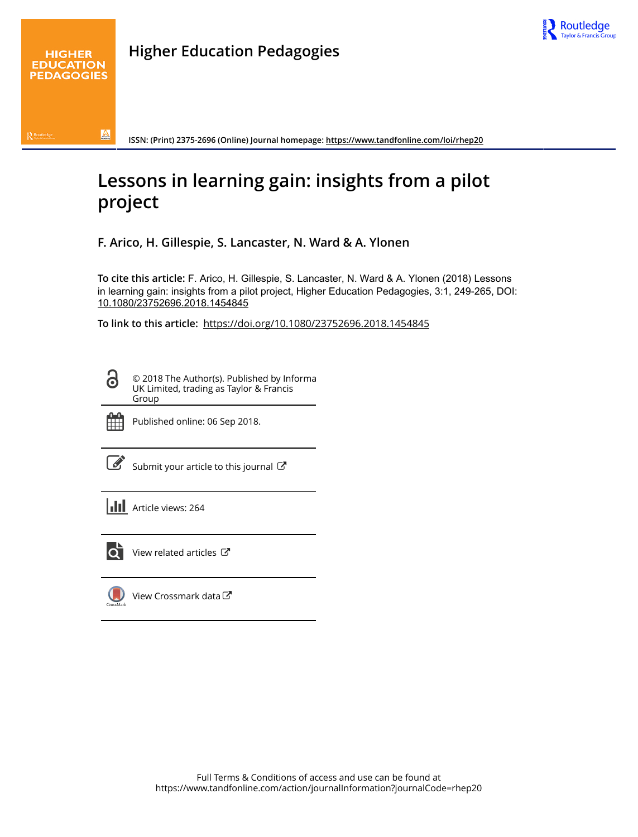

**ISSN: (Print) 2375-2696 (Online) Journal homepage:<https://www.tandfonline.com/loi/rhep20>**

# **Lessons in learning gain: insights from a pilot project**

**F. Arico, H. Gillespie, S. Lancaster, N. Ward & A. Ylonen**

**To cite this article:** F. Arico, H. Gillespie, S. Lancaster, N. Ward & A. Ylonen (2018) Lessons in learning gain: insights from a pilot project, Higher Education Pedagogies, 3:1, 249-265, DOI: [10.1080/23752696.2018.1454845](https://www.tandfonline.com/action/showCitFormats?doi=10.1080/23752696.2018.1454845)

**To link to this article:** <https://doi.org/10.1080/23752696.2018.1454845>

© 2018 The Author(s). Published by Informa UK Limited, trading as Taylor & Francis Group



 $\partial$ 

Published online: 06 Sep 2018.

[Submit your article to this journal](https://www.tandfonline.com/action/authorSubmission?journalCode=rhep20&show=instructions)  $\mathbb{Z}$ 

**III** Article views: 264



View related articles

 $\mathbf U$ [View Crossmark data](http://crossmark.crossref.org/dialog/?doi=10.1080/23752696.2018.1454845&domain=pdf&date_stamp=2018-09-06) $\mathbb{Z}$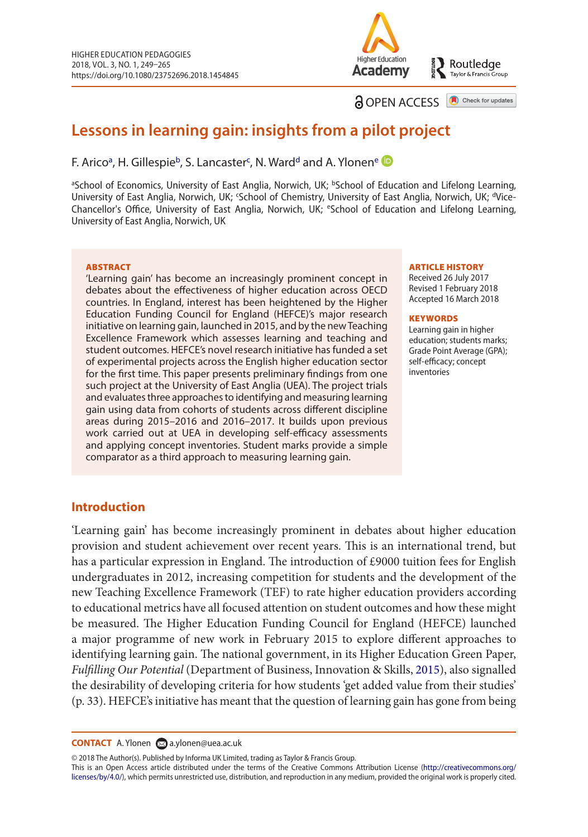

**A OPEN ACCESS** 

Check for updates

# **Lessons in learning gain: insights from a pilot project**

F. Arico<sup>a</sup>, H. Gillespie<sup>b</sup>, S. Lancaster<sup>c</sup>, N. Ward<sup>d</sup> and A. Ylo[ne](#page-1-4)n<sup>e</sup>

<span id="page-1-4"></span><span id="page-1-2"></span><span id="page-1-1"></span><span id="page-1-0"></span><sup>a</sup>School of Economics, University of East Anglia, Norwich, UK; <sup>b</sup>School of Education and Lifelong Learning, University of East Anglia, Norwich, UK; 'School of Chemistry, University of East Anglia, Norwich, UK; <sup>d</sup>Vice-Chancellor's Office, University of East Anglia, Norwich, UK; e School of Education and Lifelong Learning, University of East Anglia, Norwich, UK

#### ABSTRACT

'Learning gain' has become an increasingly prominent concept in debates about the effectiveness of higher education across OECD countries. In England, interest has been heightened by the Higher Education Funding Council for England (HEFCE)'s major research initiative on learning gain, launched in 2015, and by the new Teaching Excellence Framework which assesses learning and teaching and student outcomes. HEFCE's novel research initiative has funded a set of experimental projects across the English higher education sector for the first time. This paper presents preliminary findings from one such project at the University of East Anglia (UEA). The project trials and evaluates three approaches to identifying and measuring learning gain using data from cohorts of students across different discipline areas during 2015–2016 and 2016–2017. It builds upon previous work carried out at UEA in developing self-efficacy assessments and applying concept inventories. Student marks provide a simple comparator as a third approach to measuring learning gain.

#### <span id="page-1-3"></span>ARTICLE HISTORY

Received 26 July 2017 Revised 1 February 2018 Accepted 16 March 2018

#### **KEYWORDS**

<span id="page-1-5"></span>Learning gain in higher education; students marks; Grade Point Average (GPA); self-efficacy; concept inventories

# **Introduction**

'Learning gain' has become increasingly prominent in debates about higher education provision and student achievement over recent years. This is an international trend, but has a particular expression in England. The introduction of £9000 tuition fees for English undergraduates in 2012, increasing competition for students and the development of the new Teaching Excellence Framework (TEF) to rate higher education providers according to educational metrics have all focused attention on student outcomes and how these might be measured. The Higher Education Funding Council for England (HEFCE) launched a major programme of new work in February 2015 to explore different approaches to identifying learning gain. The national government, in its Higher Education Green Paper, *Fulfilling Our Potential* (Department of Business, Innovation & Skills, [2015](#page-16-0)), also signalled the desirability of developing criteria for how students 'get added value from their studies' (p. 33). HEFCE's initiative has meant that the question of learning gain has gone from being

**CONTACT** A. Ylonen [a.ylonen@uea.ac.uk](mailto:a.ylonen@uea.ac.uk)

© 2018 The Author(s). Published by Informa UK Limited, trading as Taylor & Francis Group.

This is an Open Access article distributed under the terms of the Creative Commons Attribution License [\(http://creativecommons.org/](http://creativecommons.org/licenses/by/4.0/) [licenses/by/4.0/](http://creativecommons.org/licenses/by/4.0/)), which permits unrestricted use, distribution, and reproduction in any medium, provided the original work is properly cited.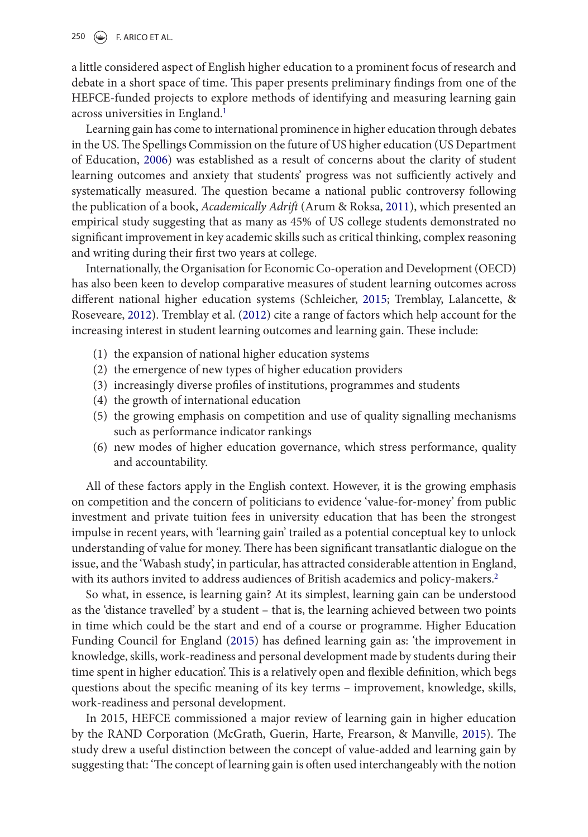250  $\left(\frac{1}{2}\right)$  F. ARICO ET AL.

a little considered aspect of English higher education to a prominent focus of research and debate in a short space of time. This paper presents preliminary findings from one of the HEFCE-funded projects to explore methods of identifying and measuring learning gain across universities in England.<sup>[1](#page-15-0)</sup>

<span id="page-2-5"></span>Learning gain has come to international prominence in higher education through debates in the US. The Spellings Commission on the future of US higher education (US Department of Education, [2006\)](#page-17-0) was established as a result of concerns about the clarity of student learning outcomes and anxiety that students' progress was not sufficiently actively and systematically measured. The question became a national public controversy following the publication of a book, *Academically Adrift* (Arum & Roksa, [2011\)](#page-16-1), which presented an empirical study suggesting that as many as 45% of US college students demonstrated no significant improvement in key academic skills such as critical thinking, complex reasoning and writing during their first two years at college.

Internationally, the Organisation for Economic Co-operation and Development (OECD) has also been keen to develop comparative measures of student learning outcomes across different national higher education systems (Schleicher, [2015;](#page-17-1) Tremblay, Lalancette, & Roseveare, [2012](#page-17-2)). Tremblay et al. ([2012\)](#page-17-2) cite a range of factors which help account for the increasing interest in student learning outcomes and learning gain. These include:

- <span id="page-2-4"></span><span id="page-2-3"></span><span id="page-2-0"></span>(1) the expansion of national higher education systems
- (2) the emergence of new types of higher education providers
- (3) increasingly diverse profiles of institutions, programmes and students
- (4) the growth of international education
- (5) the growing emphasis on competition and use of quality signalling mechanisms such as performance indicator rankings
- (6) new modes of higher education governance, which stress performance, quality and accountability.

All of these factors apply in the English context. However, it is the growing emphasis on competition and the concern of politicians to evidence 'value-for-money' from public investment and private tuition fees in university education that has been the strongest impulse in recent years, with 'learning gain' trailed as a potential conceptual key to unlock understanding of value for money. There has been significant transatlantic dialogue on the issue, and the 'Wabash study', in particular, has attracted considerable attention in England, with its authors invited to address audiences of British academics and policy-makers.<sup>[2](#page-15-1)</sup>

<span id="page-2-1"></span>So what, in essence, is learning gain? At its simplest, learning gain can be understood as the 'distance travelled' by a student – that is, the learning achieved between two points in time which could be the start and end of a course or programme. Higher Education Funding Council for England [\(2015\)](#page-16-2) has defined learning gain as: 'the improvement in knowledge, skills, work-readiness and personal development made by students during their time spent in higher education'. This is a relatively open and flexible definition, which begs questions about the specific meaning of its key terms – improvement, knowledge, skills, work-readiness and personal development.

<span id="page-2-2"></span>In 2015, HEFCE commissioned a major review of learning gain in higher education by the RAND Corporation (McGrath, Guerin, Harte, Frearson, & Manville, [2015](#page-16-3)). The study drew a useful distinction between the concept of value-added and learning gain by suggesting that: 'The concept of learning gain is often used interchangeably with the notion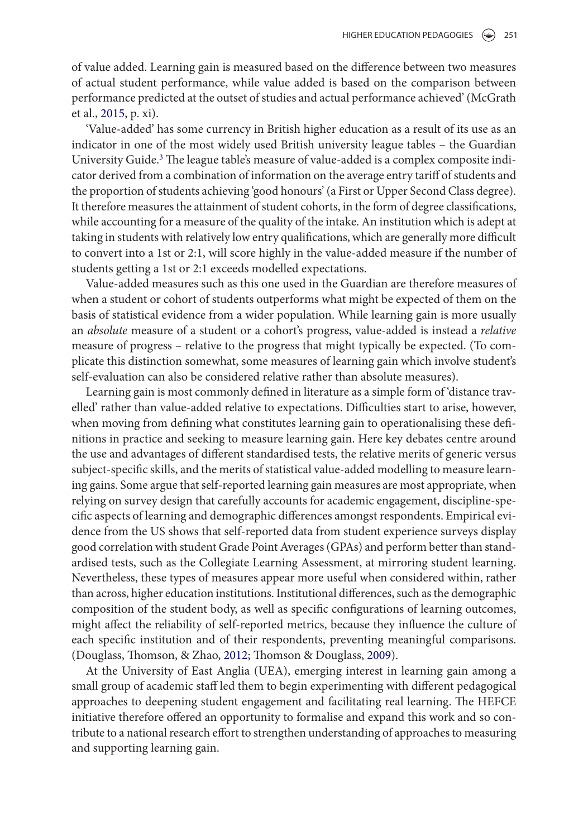of value added. Learning gain is measured based on the difference between two measures of actual student performance, while value added is based on the comparison between performance predicted at the outset of studies and actual performance achieved' (McGrath et al., [2015,](#page-16-3) p. xi).

'Value-added' has some currency in British higher education as a result of its use as an indicator in one of the most widely used British university league tables – the Guardian University Guide.<sup>[3](#page-15-2)</sup> The league table's measure of value-added is a complex composite indicator derived from a combination of information on the average entry tariff of students and the proportion of students achieving 'good honours' (a First or Upper Second Class degree). It therefore measures the attainment of student cohorts, in the form of degree classifications, while accounting for a measure of the quality of the intake. An institution which is adept at taking in students with relatively low entry qualifications, which are generally more difficult to convert into a 1st or 2:1, will score highly in the value-added measure if the number of students getting a 1st or 2:1 exceeds modelled expectations.

Value-added measures such as this one used in the Guardian are therefore measures of when a student or cohort of students outperforms what might be expected of them on the basis of statistical evidence from a wider population. While learning gain is more usually an *absolute* measure of a student or a cohort's progress, value-added is instead a *relative* measure of progress – relative to the progress that might typically be expected. (To complicate this distinction somewhat, some measures of learning gain which involve student's self-evaluation can also be considered relative rather than absolute measures).

Learning gain is most commonly defined in literature as a simple form of 'distance travelled' rather than value-added relative to expectations. Difficulties start to arise, however, when moving from defining what constitutes learning gain to operationalising these definitions in practice and seeking to measure learning gain. Here key debates centre around the use and advantages of different standardised tests, the relative merits of generic versus subject-specific skills, and the merits of statistical value-added modelling to measure learning gains. Some argue that self-reported learning gain measures are most appropriate, when relying on survey design that carefully accounts for academic engagement, discipline-specific aspects of learning and demographic differences amongst respondents. Empirical evidence from the US shows that self-reported data from student experience surveys display good correlation with student Grade Point Averages (GPAs) and perform better than standardised tests, such as the Collegiate Learning Assessment, at mirroring student learning. Nevertheless, these types of measures appear more useful when considered within, rather than across, higher education institutions. Institutional differences, such as the demographic composition of the student body, as well as specific configurations of learning outcomes, might affect the reliability of self-reported metrics, because they influence the culture of each specific institution and of their respondents, preventing meaningful comparisons. (Douglass, Thomson, & Zhao, [2012;](#page-16-4) Thomson & Douglass, [2009](#page-17-3)).

<span id="page-3-1"></span><span id="page-3-0"></span>At the University of East Anglia (UEA), emerging interest in learning gain among a small group of academic staff led them to begin experimenting with different pedagogical approaches to deepening student engagement and facilitating real learning. The HEFCE initiative therefore offered an opportunity to formalise and expand this work and so contribute to a national research effort to strengthen understanding of approaches to measuring and supporting learning gain.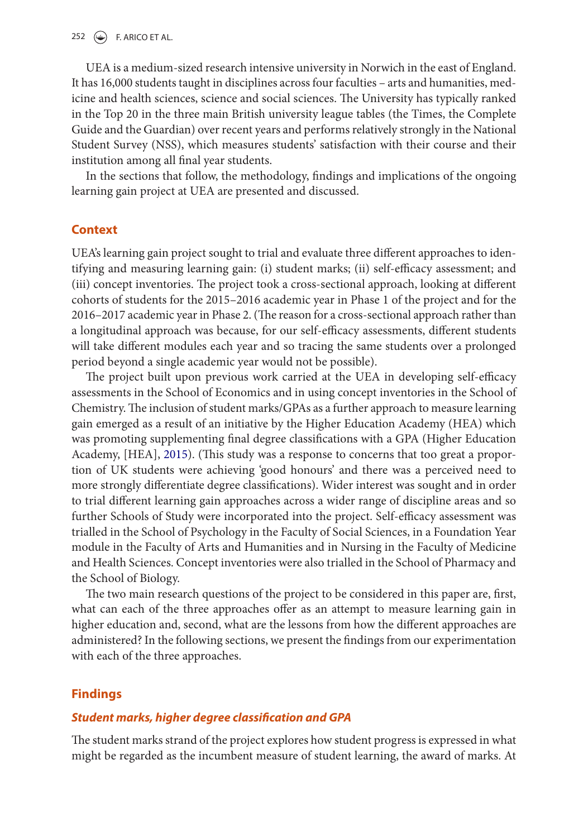UEA is a medium-sized research intensive university in Norwich in the east of England. It has 16,000 students taught in disciplines across four faculties – arts and humanities, medicine and health sciences, science and social sciences. The University has typically ranked in the Top 20 in the three main British university league tables (the Times, the Complete Guide and the Guardian) over recent years and performs relatively strongly in the National Student Survey (NSS), which measures students' satisfaction with their course and their institution among all final year students.

In the sections that follow, the methodology, findings and implications of the ongoing learning gain project at UEA are presented and discussed.

# **Context**

UEA's learning gain project sought to trial and evaluate three different approaches to identifying and measuring learning gain: (i) student marks; (ii) self-efficacy assessment; and (iii) concept inventories. The project took a cross-sectional approach, looking at different cohorts of students for the 2015–2016 academic year in Phase 1 of the project and for the 2016–2017 academic year in Phase 2. (The reason for a cross-sectional approach rather than a longitudinal approach was because, for our self-efficacy assessments, different students will take different modules each year and so tracing the same students over a prolonged period beyond a single academic year would not be possible).

<span id="page-4-0"></span>The project built upon previous work carried at the UEA in developing self-efficacy assessments in the School of Economics and in using concept inventories in the School of Chemistry. The inclusion of student marks/GPAs as a further approach to measure learning gain emerged as a result of an initiative by the Higher Education Academy (HEA) which was promoting supplementing final degree classifications with a GPA (Higher Education Academy, [HEA], [2015\)](#page-16-5). (This study was a response to concerns that too great a proportion of UK students were achieving 'good honours' and there was a perceived need to more strongly differentiate degree classifications). Wider interest was sought and in order to trial different learning gain approaches across a wider range of discipline areas and so further Schools of Study were incorporated into the project. Self-efficacy assessment was trialled in the School of Psychology in the Faculty of Social Sciences, in a Foundation Year module in the Faculty of Arts and Humanities and in Nursing in the Faculty of Medicine and Health Sciences. Concept inventories were also trialled in the School of Pharmacy and the School of Biology.

The two main research questions of the project to be considered in this paper are, first, what can each of the three approaches offer as an attempt to measure learning gain in higher education and, second, what are the lessons from how the different approaches are administered? In the following sections, we present the findings from our experimentation with each of the three approaches.

# **Findings**

## *Student marks, higher degree classification and GPA*

The student marks strand of the project explores how student progress is expressed in what might be regarded as the incumbent measure of student learning, the award of marks. At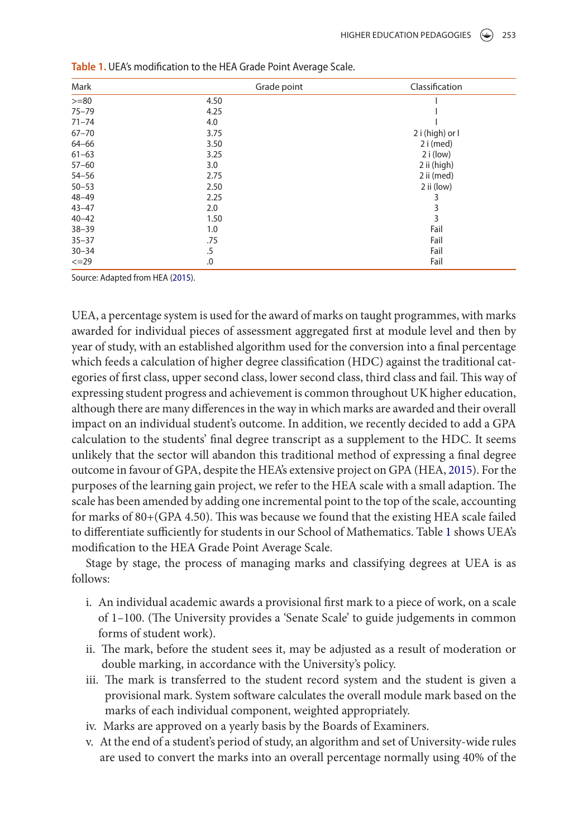| Mark       | Grade point | Classification  |
|------------|-------------|-----------------|
| $>= 80$    | 4.50        |                 |
| $75 - 79$  | 4.25        |                 |
| $71 - 74$  | 4.0         |                 |
| $67 - 70$  | 3.75        | 2 i (high) or l |
| $64 - 66$  | 3.50        | $2$ i (med)     |
| $61 - 63$  | 3.25        | $2$ i (low)     |
| $57 - 60$  | 3.0         | 2 ii (high)     |
| $54 - 56$  | 2.75        | 2 ii (med)      |
| $50 - 53$  | 2.50        | 2 ii (low)      |
| $48 - 49$  | 2.25        | 3               |
| $43 - 47$  | 2.0         | 3               |
| $40 - 42$  | 1.50        | 3               |
| $38 - 39$  | 1.0         | Fail            |
| $35 - 37$  | .75         | Fail            |
| $30 - 34$  | .5          | Fail            |
| $\leq$ =29 | .0          | Fail            |

<span id="page-5-0"></span>**Table 1.** UEA's modification to the HEA Grade Point Average Scale.

Source: Adapted from HEA ([2015](#page-16-5)).

UEA, a percentage system is used for the award of marks on taught programmes, with marks awarded for individual pieces of assessment aggregated first at module level and then by year of study, with an established algorithm used for the conversion into a final percentage which feeds a calculation of higher degree classification (HDC) against the traditional categories of first class, upper second class, lower second class, third class and fail. This way of expressing student progress and achievement is common throughout UK higher education, although there are many differences in the way in which marks are awarded and their overall impact on an individual student's outcome. In addition, we recently decided to add a GPA calculation to the students' final degree transcript as a supplement to the HDC. It seems unlikely that the sector will abandon this traditional method of expressing a final degree outcome in favour of GPA, despite the HEA's extensive project on GPA (HEA, [2015](#page-16-5)). For the purposes of the learning gain project, we refer to the HEA scale with a small adaption. The scale has been amended by adding one incremental point to the top of the scale, accounting for marks of 80+(GPA 4.50). This was because we found that the existing HEA scale failed to differentiate sufficiently for students in our School of Mathematics. Table [1](#page-5-0) shows UEA's modification to the HEA Grade Point Average Scale.

Stage by stage, the process of managing marks and classifying degrees at UEA is as follows:

- i. An individual academic awards a provisional first mark to a piece of work, on a scale of 1–100. (The University provides a 'Senate Scale' to guide judgements in common forms of student work).
- ii. The mark, before the student sees it, may be adjusted as a result of moderation or double marking, in accordance with the University's policy.
- iii. The mark is transferred to the student record system and the student is given a provisional mark. System software calculates the overall module mark based on the marks of each individual component, weighted appropriately.
- iv. Marks are approved on a yearly basis by the Boards of Examiners.
- v. At the end of a student's period of study, an algorithm and set of University-wide rules are used to convert the marks into an overall percentage normally using 40% of the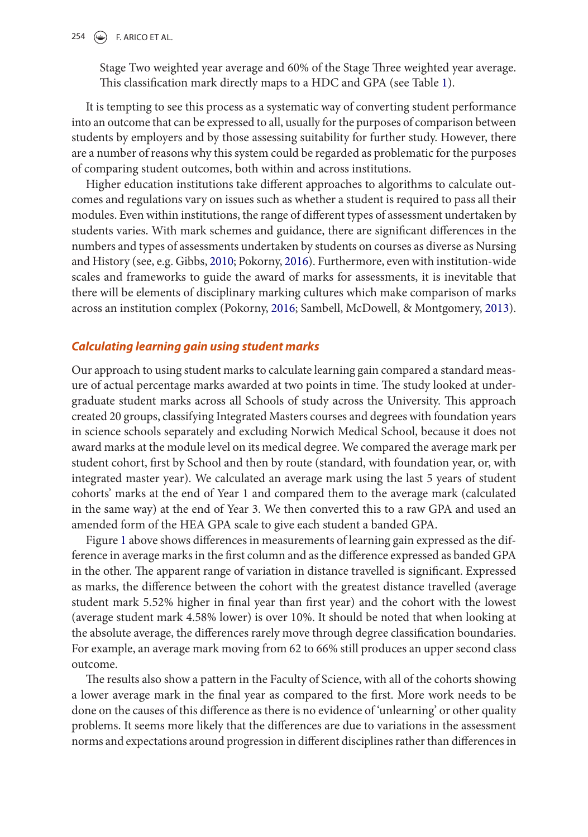Stage Two weighted year average and 60% of the Stage Three weighted year average. This classification mark directly maps to a HDC and GPA (see Table [1\)](#page-5-0).

It is tempting to see this process as a systematic way of converting student performance into an outcome that can be expressed to all, usually for the purposes of comparison between students by employers and by those assessing suitability for further study. However, there are a number of reasons why this system could be regarded as problematic for the purposes of comparing student outcomes, both within and across institutions.

<span id="page-6-1"></span><span id="page-6-0"></span>Higher education institutions take different approaches to algorithms to calculate outcomes and regulations vary on issues such as whether a student is required to pass all their modules. Even within institutions, the range of different types of assessment undertaken by students varies. With mark schemes and guidance, there are significant differences in the numbers and types of assessments undertaken by students on courses as diverse as Nursing and History (see, e.g. Gibbs, [2010;](#page-16-6) Pokorny, [2016\)](#page-17-4). Furthermore, even with institution-wide scales and frameworks to guide the award of marks for assessments, it is inevitable that there will be elements of disciplinary marking cultures which make comparison of marks across an institution complex (Pokorny, [2016;](#page-17-4) Sambell, McDowell, & Montgomery, [2013](#page-17-5)).

# <span id="page-6-2"></span>*Calculating learning gain using student marks*

Our approach to using student marks to calculate learning gain compared a standard measure of actual percentage marks awarded at two points in time. The study looked at undergraduate student marks across all Schools of study across the University. This approach created 20 groups, classifying Integrated Masters courses and degrees with foundation years in science schools separately and excluding Norwich Medical School, because it does not award marks at the module level on its medical degree. We compared the average mark per student cohort, first by School and then by route (standard, with foundation year, or, with integrated master year). We calculated an average mark using the last 5 years of student cohorts' marks at the end of Year 1 and compared them to the average mark (calculated in the same way) at the end of Year 3. We then converted this to a raw GPA and used an amended form of the HEA GPA scale to give each student a banded GPA.

Figure [1](#page-7-0) above shows differences in measurements of learning gain expressed as the difference in average marks in the first column and as the difference expressed as banded GPA in the other. The apparent range of variation in distance travelled is significant. Expressed as marks, the difference between the cohort with the greatest distance travelled (average student mark 5.52% higher in final year than first year) and the cohort with the lowest (average student mark 4.58% lower) is over 10%. It should be noted that when looking at the absolute average, the differences rarely move through degree classification boundaries. For example, an average mark moving from 62 to 66% still produces an upper second class outcome.

The results also show a pattern in the Faculty of Science, with all of the cohorts showing a lower average mark in the final year as compared to the first. More work needs to be done on the causes of this difference as there is no evidence of 'unlearning' or other quality problems. It seems more likely that the differences are due to variations in the assessment norms and expectations around progression in different disciplines rather than differences in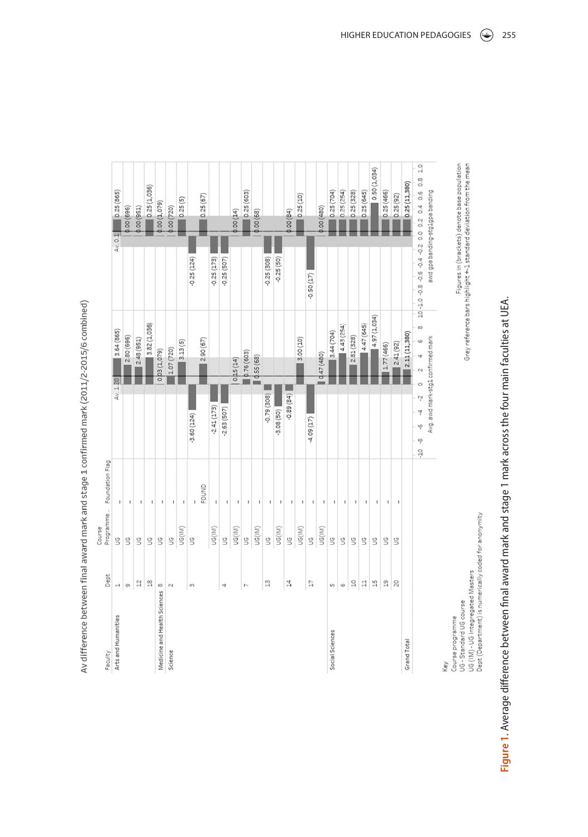| l                                                                                                      |
|--------------------------------------------------------------------------------------------------------|
|                                                                                                        |
| l<br>l                                                                                                 |
|                                                                                                        |
|                                                                                                        |
| $\overline{\phantom{a}}$<br>j                                                                          |
| í<br>Í<br>I                                                                                            |
|                                                                                                        |
| l                                                                                                      |
| $\overline{\phantom{a}}$<br>֚֚֚֬<br>J<br>Ì                                                             |
| ļ<br>J<br>֦֖֖֖֖֖֧֖֧֚֚֚֚֚֚֚֚֚֚֚֚֚֚֚֚֚֚֚֚֚֚֞֕֝֬֝֝֝֝֓֞֡֝֓֞֡֝֬֝֓֞֝֬֝֓֞֬֝֓֞֬֝֓֞֬֝֬֝֓֞֬֝֬֝֓֞֬֝֬֝֓֞֬֝֬֝֬֝֝֬֝֬ |
|                                                                                                        |
|                                                                                                        |
|                                                                                                        |
| J<br>í                                                                                                 |
|                                                                                                        |
|                                                                                                        |
|                                                                                                        |
| ł                                                                                                      |
|                                                                                                        |
|                                                                                                        |
|                                                                                                        |
| ĵ                                                                                                      |
|                                                                                                        |
|                                                                                                        |
|                                                                                                        |
|                                                                                                        |
| ١                                                                                                      |
| i                                                                                                      |
| I                                                                                                      |
|                                                                                                        |
|                                                                                                        |
| ֚֚֚֬                                                                                                   |
| Ì                                                                                                      |
| ı                                                                                                      |
|                                                                                                        |
| l                                                                                                      |
|                                                                                                        |
|                                                                                                        |
|                                                                                                        |
| $\overline{a}$                                                                                         |
| I                                                                                                      |
|                                                                                                        |
| $\ddot{\phantom{a}}$<br>l                                                                              |
|                                                                                                        |
|                                                                                                        |
|                                                                                                        |
| ì                                                                                                      |
| $\overline{a}$<br>j                                                                                    |
|                                                                                                        |
|                                                                                                        |
|                                                                                                        |
| ֚֚֚֬                                                                                                   |
|                                                                                                        |
|                                                                                                        |
| $\frac{1}{2}$<br>l                                                                                     |
|                                                                                                        |
| ł                                                                                                      |
|                                                                                                        |

| Faculty                                              | Dept                     | Course         | Programme Foundation Flag                                                                                                                                                                                                                                                                                                                            |                                                            |                                                                    |                                              |
|------------------------------------------------------|--------------------------|----------------|------------------------------------------------------------------------------------------------------------------------------------------------------------------------------------------------------------------------------------------------------------------------------------------------------------------------------------------------------|------------------------------------------------------------|--------------------------------------------------------------------|----------------------------------------------|
| Arts and Humanities                                  | $\overline{\phantom{0}}$ | S              | I.                                                                                                                                                                                                                                                                                                                                                   | 3.64 (865)<br>$\overline{\Omega}$<br>Av.1.                 |                                                                    | 0.25 (865)<br>Av. 0.1                        |
|                                                      | $\sigma$                 | S              | ٠                                                                                                                                                                                                                                                                                                                                                    | 2.80(696)                                                  |                                                                    | 069) 00.                                     |
|                                                      | $^{22}$                  | $\frac{6}{1}$  | $\mathbf{I}$                                                                                                                                                                                                                                                                                                                                         | 2.48(951)                                                  |                                                                    | 0.00(951)                                    |
|                                                      | $\frac{8}{10}$           | S              | ı                                                                                                                                                                                                                                                                                                                                                    | 3.82(1,036)                                                |                                                                    | 0.25(1,036)                                  |
| Medicine and Health Sciences                         | $\infty$                 | $\mathbb{S}$   | $\mathbf{I}$                                                                                                                                                                                                                                                                                                                                         | 0 03(1,079)                                                |                                                                    | 0.00(1,079)                                  |
| Science                                              | $\sim$                   | S              | ı                                                                                                                                                                                                                                                                                                                                                    | 1.07(720)                                                  |                                                                    | 0.00(720)                                    |
|                                                      |                          | UG(IM)         | I                                                                                                                                                                                                                                                                                                                                                    | 3.13(5)                                                    |                                                                    | 0.25(5)                                      |
|                                                      | $\omega$                 | $\mathfrak{S}$ | Ţ                                                                                                                                                                                                                                                                                                                                                    | $-3.60(124)$                                               | $-0.25(124)$                                                       |                                              |
|                                                      |                          |                | FOUND                                                                                                                                                                                                                                                                                                                                                | 2.90(67)                                                   |                                                                    | 0.25(67)                                     |
|                                                      |                          | UG(IM)         | $\sf I$                                                                                                                                                                                                                                                                                                                                              | $-2.41(173)$                                               | $-0.25(173)$                                                       |                                              |
|                                                      | 4                        | S              | ı                                                                                                                                                                                                                                                                                                                                                    | $-2.63(507)$                                               | $-0.25(507)$                                                       |                                              |
|                                                      |                          | UG(IM)         | $\mathbf{I}$                                                                                                                                                                                                                                                                                                                                         | 045(14)                                                    |                                                                    | 0.00(14)                                     |
|                                                      | $\sim$                   | S              | I.                                                                                                                                                                                                                                                                                                                                                   | 0.76 (603)                                                 |                                                                    | 0.25(603)                                    |
|                                                      |                          | UG(IM)         | ı                                                                                                                                                                                                                                                                                                                                                    | 0.55(68)                                                   |                                                                    | 0.00(68)                                     |
|                                                      | $\frac{2}{3}$            | $\mathfrak{S}$ | ٠                                                                                                                                                                                                                                                                                                                                                    | $-0.79(308)$                                               | 0.25(308)                                                          |                                              |
|                                                      |                          | UG(IM)         | ı                                                                                                                                                                                                                                                                                                                                                    | $-3.08(50)$                                                | $-0.25(50)$                                                        |                                              |
|                                                      | $^{14}$                  | $\mathfrak{S}$ | I                                                                                                                                                                                                                                                                                                                                                    | $-0.89(84)$                                                |                                                                    | 0.00(84)                                     |
|                                                      |                          | UG(IM)         | t                                                                                                                                                                                                                                                                                                                                                    | 3.00(10)                                                   |                                                                    | 0.25(10)                                     |
|                                                      | $\overline{17}$          | S              | ı                                                                                                                                                                                                                                                                                                                                                    | $-4.09(17)$                                                | $-0.50(17)$                                                        |                                              |
|                                                      |                          | UG(IM)         | J.                                                                                                                                                                                                                                                                                                                                                   | d.47(480)                                                  |                                                                    | 0.00(480)                                    |
| Social Sciences                                      | u)                       | S              | $\mathbf{I}$                                                                                                                                                                                                                                                                                                                                         | 3.44(704)                                                  |                                                                    | 0.25(704)                                    |
|                                                      | $\omega$                 | S              | t                                                                                                                                                                                                                                                                                                                                                    | 4.43 (254)                                                 |                                                                    | 0.25(254)                                    |
|                                                      | $\Omega$                 | $\mathfrak{S}$ | $\begin{array}{c} \rule{0.2cm}{0.15cm} \rule{0.2cm}{0.15cm} \rule{0.2cm}{0.15cm} \rule{0.2cm}{0.15cm} \rule{0.2cm}{0.15cm} \rule{0.2cm}{0.15cm} \rule{0.2cm}{0.15cm} \rule{0.2cm}{0.15cm} \rule{0.2cm}{0.15cm} \rule{0.2cm}{0.15cm} \rule{0.2cm}{0.15cm} \rule{0.2cm}{0.15cm} \rule{0.2cm}{0.15cm} \rule{0.2cm}{0.15cm} \rule{0.2cm}{0.15cm} \rule{$ | 2.81(328)                                                  |                                                                    | 0.25(328)                                    |
|                                                      | $\Box$                   | $\mathbb{S}$   | ı                                                                                                                                                                                                                                                                                                                                                    | 4.47 (645)                                                 |                                                                    | 0.25(645)                                    |
|                                                      | $\frac{5}{1}$            | $\mathfrak{S}$ | ٠                                                                                                                                                                                                                                                                                                                                                    |                                                            | 4.97(1,034)                                                        | 0.50(1,034)                                  |
|                                                      | $\frac{9}{1}$            | $\mathbb{S}$   | ı                                                                                                                                                                                                                                                                                                                                                    | 1.77(466)                                                  |                                                                    | 0.25(466)                                    |
|                                                      | S0                       | $\mathfrak{S}$ | t                                                                                                                                                                                                                                                                                                                                                    | 2.41(92)                                                   |                                                                    | 0.25(92)                                     |
| Grand Total                                          |                          |                |                                                                                                                                                                                                                                                                                                                                                      | 2.11 (11,380)                                              |                                                                    | 0.25(11,380)                                 |
|                                                      |                          |                |                                                                                                                                                                                                                                                                                                                                                      | G<br>4<br>N<br>$\circ$<br>Ņ<br>$\cdot$<br>φ<br>လု<br>$-10$ | 10 1.0 0.8 0.6 0.4 0.2 0.0 0.2 0.4 0.6 0.8<br>$\infty$             | 1.0                                          |
|                                                      |                          |                |                                                                                                                                                                                                                                                                                                                                                      | Avg. awd mark-stg1 confirmed mark                          |                                                                    | awd gpa banding-stg1gpa banding              |
| Key                                                  |                          |                |                                                                                                                                                                                                                                                                                                                                                      |                                                            |                                                                    |                                              |
| UG - Standard UG course<br>Course programme          |                          |                |                                                                                                                                                                                                                                                                                                                                                      |                                                            |                                                                    | Figures in (brackets) denote base population |
| UG (IM) - UG Integregated Masters                    |                          |                |                                                                                                                                                                                                                                                                                                                                                      |                                                            | Grey reference bars highlight +-1 standard deviation from the mean |                                              |
| Dept (Department) is numerically coded for anonymity |                          |                |                                                                                                                                                                                                                                                                                                                                                      |                                                            |                                                                    |                                              |

<span id="page-7-0"></span>Figure 1. Average difference between final award mark and stage 1 mark across the four main faculties at UEA. Average difference between final award mark and stage 1 mark across the four main faculties at UEA.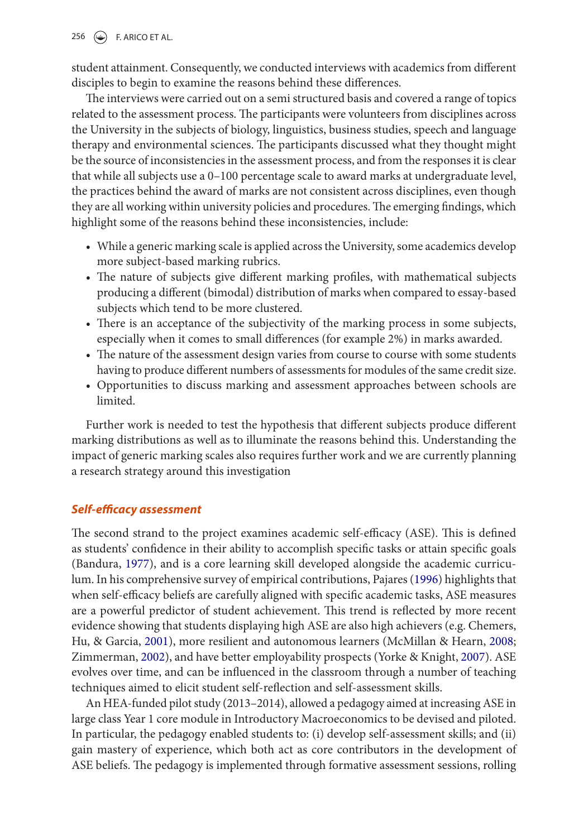student attainment. Consequently, we conducted interviews with academics from different disciples to begin to examine the reasons behind these differences.

The interviews were carried out on a semi structured basis and covered a range of topics related to the assessment process. The participants were volunteers from disciplines across the University in the subjects of biology, linguistics, business studies, speech and language therapy and environmental sciences. The participants discussed what they thought might be the source of inconsistencies in the assessment process, and from the responses it is clear that while all subjects use a 0–100 percentage scale to award marks at undergraduate level, the practices behind the award of marks are not consistent across disciplines, even though they are all working within university policies and procedures. The emerging findings, which highlight some of the reasons behind these inconsistencies, include:

- While a generic marking scale is applied across the University, some academics develop more subject-based marking rubrics.
- The nature of subjects give different marking profiles, with mathematical subjects producing a different (bimodal) distribution of marks when compared to essay-based subjects which tend to be more clustered.
- There is an acceptance of the subjectivity of the marking process in some subjects, especially when it comes to small differences (for example 2%) in marks awarded.
- The nature of the assessment design varies from course to course with some students having to produce different numbers of assessments for modules of the same credit size.
- Opportunities to discuss marking and assessment approaches between schools are limited.

Further work is needed to test the hypothesis that different subjects produce different marking distributions as well as to illuminate the reasons behind this. Understanding the impact of generic marking scales also requires further work and we are currently planning a research strategy around this investigation

### *Self-efficacy assessment*

<span id="page-8-3"></span><span id="page-8-0"></span>The second strand to the project examines academic self-efficacy (ASE). This is defined as students' confidence in their ability to accomplish specific tasks or attain specific goals (Bandura, [1977](#page-16-7)), and is a core learning skill developed alongside the academic curriculum. In his comprehensive survey of empirical contributions, Pajares [\(1996\)](#page-17-6) highlights that when self-efficacy beliefs are carefully aligned with specific academic tasks, ASE measures are a powerful predictor of student achievement. This trend is reflected by more recent evidence showing that students displaying high ASE are also high achievers (e.g. Chemers, Hu, & Garcia, [2001](#page-16-8)), more resilient and autonomous learners (McMillan & Hearn, [2008;](#page-17-7) Zimmerman, [2002](#page-17-8)), and have better employability prospects (Yorke & Knight, [2007](#page-17-9)). ASE evolves over time, and can be influenced in the classroom through a number of teaching techniques aimed to elicit student self-reflection and self-assessment skills.

<span id="page-8-5"></span><span id="page-8-4"></span><span id="page-8-2"></span><span id="page-8-1"></span>An HEA-funded pilot study (2013–2014), allowed a pedagogy aimed at increasing ASE in large class Year 1 core module in Introductory Macroeconomics to be devised and piloted. In particular, the pedagogy enabled students to: (i) develop self-assessment skills; and (ii) gain mastery of experience, which both act as core contributors in the development of ASE beliefs. The pedagogy is implemented through formative assessment sessions, rolling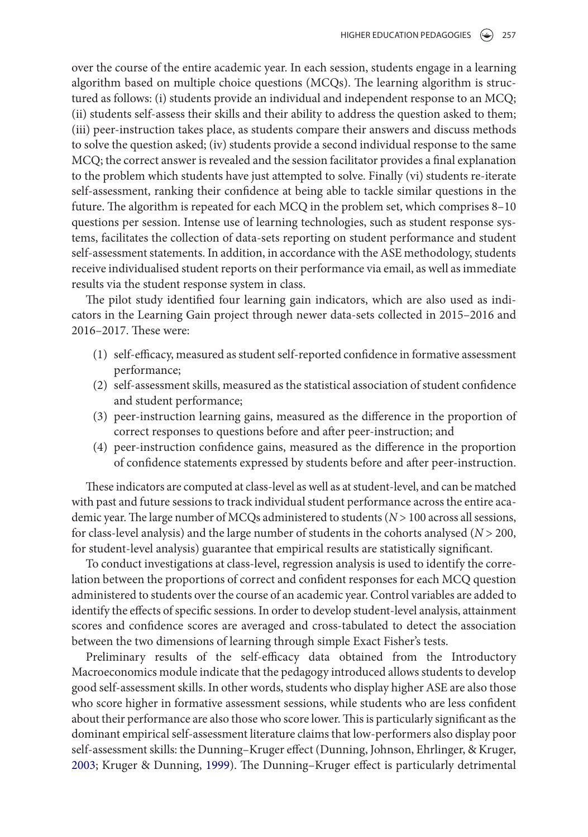over the course of the entire academic year. In each session, students engage in a learning algorithm based on multiple choice questions (MCQs). The learning algorithm is structured as follows: (i) students provide an individual and independent response to an MCQ; (ii) students self-assess their skills and their ability to address the question asked to them; (iii) peer-instruction takes place, as students compare their answers and discuss methods to solve the question asked; (iv) students provide a second individual response to the same MCQ; the correct answer is revealed and the session facilitator provides a final explanation to the problem which students have just attempted to solve. Finally (vi) students re-iterate self-assessment, ranking their confidence at being able to tackle similar questions in the future. The algorithm is repeated for each MCQ in the problem set, which comprises 8–10 questions per session. Intense use of learning technologies, such as student response systems, facilitates the collection of data-sets reporting on student performance and student self-assessment statements. In addition, in accordance with the ASE methodology, students receive individualised student reports on their performance via email, as well as immediate results via the student response system in class.

The pilot study identified four learning gain indicators, which are also used as indicators in the Learning Gain project through newer data-sets collected in 2015–2016 and 2016–2017. These were:

- (1) self-efficacy, measured as student self-reported confidence in formative assessment performance;
- (2) self-assessment skills, measured as the statistical association of student confidence and student performance;
- (3) peer-instruction learning gains, measured as the difference in the proportion of correct responses to questions before and after peer-instruction; and
- (4) peer-instruction confidence gains, measured as the difference in the proportion of confidence statements expressed by students before and after peer-instruction.

These indicators are computed at class-level as well as at student-level, and can be matched with past and future sessions to track individual student performance across the entire academic year. The large number of MCQs administered to students (*N* > 100 across all sessions, for class-level analysis) and the large number of students in the cohorts analysed (*N* > 200, for student-level analysis) guarantee that empirical results are statistically significant.

To conduct investigations at class-level, regression analysis is used to identify the correlation between the proportions of correct and confident responses for each MCQ question administered to students over the course of an academic year. Control variables are added to identify the effects of specific sessions. In order to develop student-level analysis, attainment scores and confidence scores are averaged and cross-tabulated to detect the association between the two dimensions of learning through simple Exact Fisher's tests.

<span id="page-9-1"></span><span id="page-9-0"></span>Preliminary results of the self-efficacy data obtained from the Introductory Macroeconomics module indicate that the pedagogy introduced allows students to develop good self-assessment skills. In other words, students who display higher ASE are also those who score higher in formative assessment sessions, while students who are less confident about their performance are also those who score lower. This is particularly significant as the dominant empirical self-assessment literature claims that low-performers also display poor self-assessment skills: the Dunning–Kruger effect (Dunning, Johnson, Ehrlinger, & Kruger, [2003](#page-16-9); Kruger & Dunning, [1999\)](#page-16-10). The Dunning–Kruger effect is particularly detrimental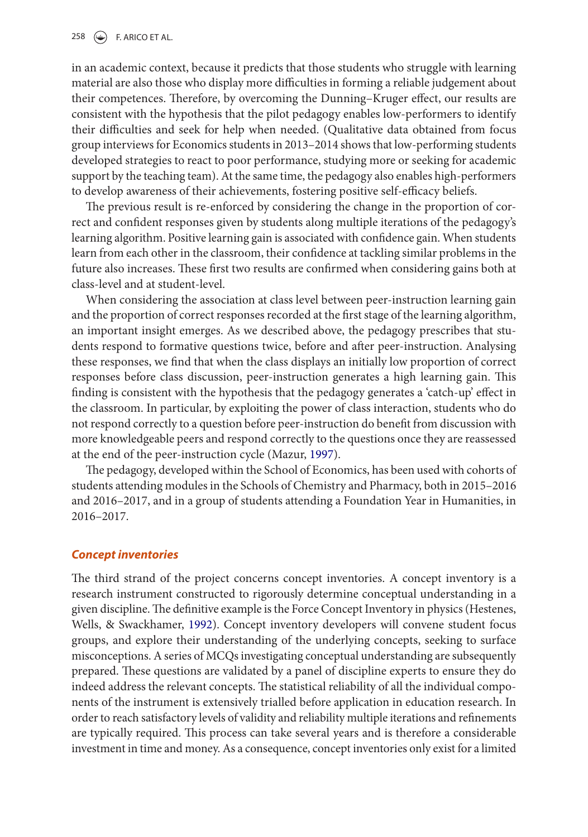in an academic context, because it predicts that those students who struggle with learning material are also those who display more difficulties in forming a reliable judgement about their competences. Therefore, by overcoming the Dunning–Kruger effect, our results are consistent with the hypothesis that the pilot pedagogy enables low-performers to identify their difficulties and seek for help when needed. (Qualitative data obtained from focus group interviews for Economics students in 2013–2014 shows that low-performing students developed strategies to react to poor performance, studying more or seeking for academic support by the teaching team). At the same time, the pedagogy also enables high-performers to develop awareness of their achievements, fostering positive self-efficacy beliefs.

The previous result is re-enforced by considering the change in the proportion of correct and confident responses given by students along multiple iterations of the pedagogy's learning algorithm. Positive learning gain is associated with confidence gain. When students learn from each other in the classroom, their confidence at tackling similar problems in the future also increases. These first two results are confirmed when considering gains both at class-level and at student-level.

When considering the association at class level between peer-instruction learning gain and the proportion of correct responses recorded at the first stage of the learning algorithm, an important insight emerges. As we described above, the pedagogy prescribes that students respond to formative questions twice, before and after peer-instruction. Analysing these responses, we find that when the class displays an initially low proportion of correct responses before class discussion, peer-instruction generates a high learning gain. This finding is consistent with the hypothesis that the pedagogy generates a 'catch-up' effect in the classroom. In particular, by exploiting the power of class interaction, students who do not respond correctly to a question before peer-instruction do benefit from discussion with more knowledgeable peers and respond correctly to the questions once they are reassessed at the end of the peer-instruction cycle (Mazur, [1997\)](#page-16-11).

<span id="page-10-1"></span>The pedagogy, developed within the School of Economics, has been used with cohorts of students attending modules in the Schools of Chemistry and Pharmacy, both in 2015–2016 and 2016–2017, and in a group of students attending a Foundation Year in Humanities, in 2016–2017.

# *Concept inventories*

<span id="page-10-0"></span>The third strand of the project concerns concept inventories. A concept inventory is a research instrument constructed to rigorously determine conceptual understanding in a given discipline. The definitive example is the Force Concept Inventory in physics (Hestenes, Wells, & Swackhamer, [1992](#page-16-12)). Concept inventory developers will convene student focus groups, and explore their understanding of the underlying concepts, seeking to surface misconceptions. A series of MCQs investigating conceptual understanding are subsequently prepared. These questions are validated by a panel of discipline experts to ensure they do indeed address the relevant concepts. The statistical reliability of all the individual components of the instrument is extensively trialled before application in education research. In order to reach satisfactory levels of validity and reliability multiple iterations and refinements are typically required. This process can take several years and is therefore a considerable investment in time and money. As a consequence, concept inventories only exist for a limited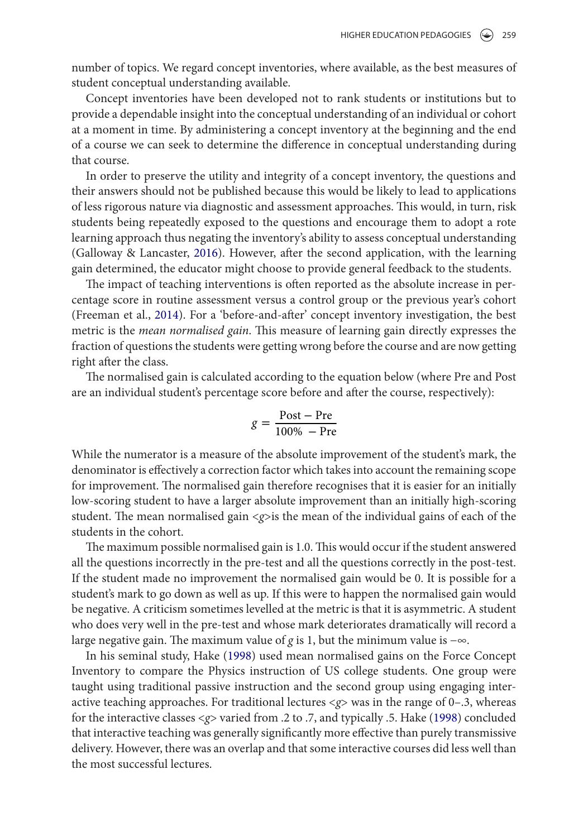number of topics. We regard concept inventories, where available, as the best measures of student conceptual understanding available.

Concept inventories have been developed not to rank students or institutions but to provide a dependable insight into the conceptual understanding of an individual or cohort at a moment in time. By administering a concept inventory at the beginning and the end of a course we can seek to determine the difference in conceptual understanding during that course.

In order to preserve the utility and integrity of a concept inventory, the questions and their answers should not be published because this would be likely to lead to applications of less rigorous nature via diagnostic and assessment approaches. This would, in turn, risk students being repeatedly exposed to the questions and encourage them to adopt a rote learning approach thus negating the inventory's ability to assess conceptual understanding (Galloway & Lancaster, [2016\)](#page-16-13). However, after the second application, with the learning gain determined, the educator might choose to provide general feedback to the students.

The impact of teaching interventions is often reported as the absolute increase in percentage score in routine assessment versus a control group or the previous year's cohort (Freeman et al., [2014\)](#page-16-14). For a 'before-and-after' concept inventory investigation, the best metric is the *mean normalised gain*. This measure of learning gain directly expresses the fraction of questions the students were getting wrong before the course and are now getting right after the class.

The normalised gain is calculated according to the equation below (where Pre and Post are an individual student's percentage score before and after the course, respectively):

<span id="page-11-2"></span><span id="page-11-1"></span><span id="page-11-0"></span>
$$
g = \frac{\text{Post} - \text{Pre}}{100\% - \text{Pre}}
$$

While the numerator is a measure of the absolute improvement of the student's mark, the denominator is effectively a correction factor which takes into account the remaining scope for improvement. The normalised gain therefore recognises that it is easier for an initially low-scoring student to have a larger absolute improvement than an initially high-scoring student. The mean normalised gain  $\langle \varphi \rangle$  is the mean of the individual gains of each of the students in the cohort.

The maximum possible normalised gain is 1.0. This would occur if the student answered all the questions incorrectly in the pre-test and all the questions correctly in the post-test. If the student made no improvement the normalised gain would be 0. It is possible for a student's mark to go down as well as up. If this were to happen the normalised gain would be negative. A criticism sometimes levelled at the metric is that it is asymmetric. A student who does very well in the pre-test and whose mark deteriorates dramatically will record a large negative gain. The maximum value of *g* is 1, but the minimum value is  $-\infty$ .

In his seminal study, Hake ([1998](#page-16-15)) used mean normalised gains on the Force Concept Inventory to compare the Physics instruction of US college students. One group were taught using traditional passive instruction and the second group using engaging interactive teaching approaches. For traditional lectures <*g*> was in the range of 0–.3, whereas for the interactive classes <*g*> varied from .2 to .7, and typically .5. Hake ([1998\)](#page-16-15) concluded that interactive teaching was generally significantly more effective than purely transmissive delivery. However, there was an overlap and that some interactive courses did less well than the most successful lectures.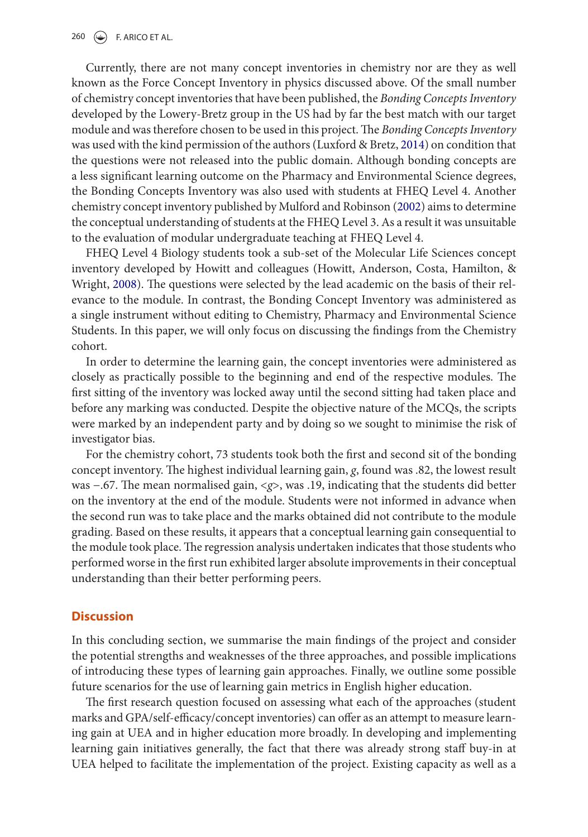<span id="page-12-1"></span>Currently, there are not many concept inventories in chemistry nor are they as well known as the Force Concept Inventory in physics discussed above. Of the small number of chemistry concept inventories that have been published, the *Bonding Concepts Inventory* developed by the Lowery-Bretz group in the US had by far the best match with our target module and was therefore chosen to be used in this project. The *Bonding Concepts Inventory* was used with the kind permission of the authors (Luxford & Bretz, [2014](#page-16-16)) on condition that the questions were not released into the public domain. Although bonding concepts are a less significant learning outcome on the Pharmacy and Environmental Science degrees, the Bonding Concepts Inventory was also used with students at FHEQ Level 4. Another chemistry concept inventory published by Mulford and Robinson [\(2002](#page-17-10)) aims to determine the conceptual understanding of students at the FHEQ Level 3. As a result it was unsuitable to the evaluation of modular undergraduate teaching at FHEQ Level 4.

<span id="page-12-2"></span><span id="page-12-0"></span>FHEQ Level 4 Biology students took a sub-set of the Molecular Life Sciences concept inventory developed by Howitt and colleagues (Howitt, Anderson, Costa, Hamilton, & Wright, [2008\)](#page-16-17). The questions were selected by the lead academic on the basis of their relevance to the module. In contrast, the Bonding Concept Inventory was administered as a single instrument without editing to Chemistry, Pharmacy and Environmental Science Students. In this paper, we will only focus on discussing the findings from the Chemistry cohort.

In order to determine the learning gain, the concept inventories were administered as closely as practically possible to the beginning and end of the respective modules. The first sitting of the inventory was locked away until the second sitting had taken place and before any marking was conducted. Despite the objective nature of the MCQs, the scripts were marked by an independent party and by doing so we sought to minimise the risk of investigator bias.

For the chemistry cohort, 73 students took both the first and second sit of the bonding concept inventory. The highest individual learning gain, *g*, found was .82, the lowest result was −.67. The mean normalised gain, <*g*>, was .19, indicating that the students did better on the inventory at the end of the module. Students were not informed in advance when the second run was to take place and the marks obtained did not contribute to the module grading. Based on these results, it appears that a conceptual learning gain consequential to the module took place. The regression analysis undertaken indicates that those students who performed worse in the first run exhibited larger absolute improvements in their conceptual understanding than their better performing peers.

# **Discussion**

In this concluding section, we summarise the main findings of the project and consider the potential strengths and weaknesses of the three approaches, and possible implications of introducing these types of learning gain approaches. Finally, we outline some possible future scenarios for the use of learning gain metrics in English higher education.

The first research question focused on assessing what each of the approaches (student marks and GPA/self-efficacy/concept inventories) can offer as an attempt to measure learning gain at UEA and in higher education more broadly. In developing and implementing learning gain initiatives generally, the fact that there was already strong staff buy-in at UEA helped to facilitate the implementation of the project. Existing capacity as well as a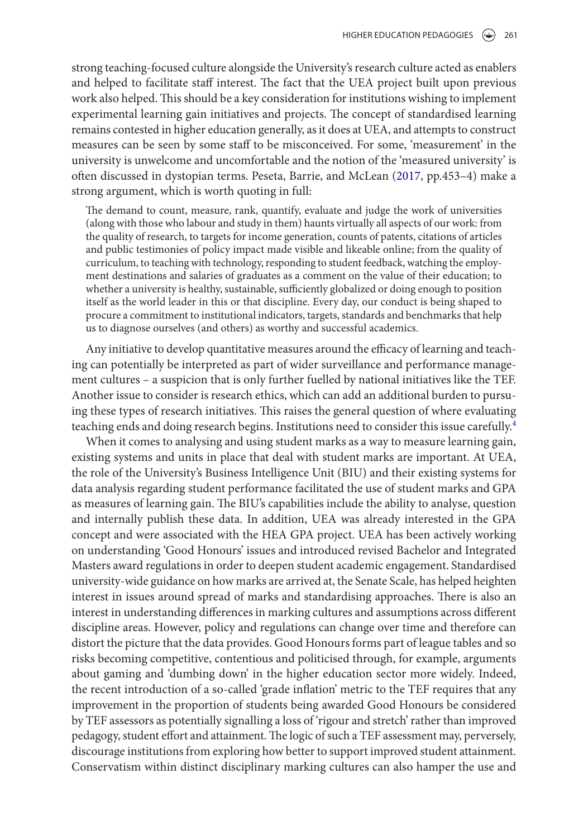strong teaching-focused culture alongside the University's research culture acted as enablers and helped to facilitate staff interest. The fact that the UEA project built upon previous work also helped. This should be a key consideration for institutions wishing to implement experimental learning gain initiatives and projects. The concept of standardised learning remains contested in higher education generally, as it does at UEA, and attempts to construct measures can be seen by some staff to be misconceived. For some, 'measurement' in the university is unwelcome and uncomfortable and the notion of the 'measured university' is often discussed in dystopian terms. Peseta, Barrie, and McLean ([2017,](#page-17-11) pp.453–4) make a strong argument, which is worth quoting in full:

<span id="page-13-0"></span>The demand to count, measure, rank, quantify, evaluate and judge the work of universities (along with those who labour and study in them) haunts virtually all aspects of our work: from the quality of research, to targets for income generation, counts of patents, citations of articles and public testimonies of policy impact made visible and likeable online; from the quality of curriculum, to teaching with technology, responding to student feedback, watching the employment destinations and salaries of graduates as a comment on the value of their education; to whether a university is healthy, sustainable, sufficiently globalized or doing enough to position itself as the world leader in this or that discipline. Every day, our conduct is being shaped to procure a commitment to institutional indicators, targets, standards and benchmarks that help us to diagnose ourselves (and others) as worthy and successful academics.

Any initiative to develop quantitative measures around the efficacy of learning and teaching can potentially be interpreted as part of wider surveillance and performance management cultures – a suspicion that is only further fuelled by national initiatives like the TEF. Another issue to consider is research ethics, which can add an additional burden to pursuing these types of research initiatives. This raises the general question of where evaluating teaching ends and doing research begins. Institutions need to consider this issue carefully.[4](#page-15-3)

When it comes to analysing and using student marks as a way to measure learning gain, existing systems and units in place that deal with student marks are important. At UEA, the role of the University's Business Intelligence Unit (BIU) and their existing systems for data analysis regarding student performance facilitated the use of student marks and GPA as measures of learning gain. The BIU's capabilities include the ability to analyse, question and internally publish these data. In addition, UEA was already interested in the GPA concept and were associated with the HEA GPA project. UEA has been actively working on understanding 'Good Honours' issues and introduced revised Bachelor and Integrated Masters award regulations in order to deepen student academic engagement. Standardised university-wide guidance on how marks are arrived at, the Senate Scale, has helped heighten interest in issues around spread of marks and standardising approaches. There is also an interest in understanding differences in marking cultures and assumptions across different discipline areas. However, policy and regulations can change over time and therefore can distort the picture that the data provides. Good Honours forms part of league tables and so risks becoming competitive, contentious and politicised through, for example, arguments about gaming and 'dumbing down' in the higher education sector more widely. Indeed, the recent introduction of a so-called 'grade inflation' metric to the TEF requires that any improvement in the proportion of students being awarded Good Honours be considered by TEF assessors as potentially signalling a loss of 'rigour and stretch' rather than improved pedagogy, student effort and attainment. The logic of such a TEF assessment may, perversely, discourage institutions from exploring how better to support improved student attainment. Conservatism within distinct disciplinary marking cultures can also hamper the use and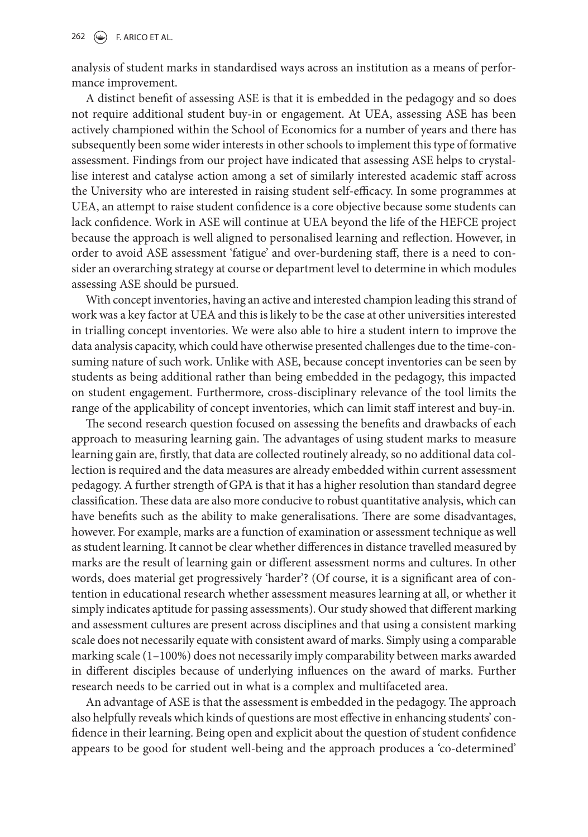analysis of student marks in standardised ways across an institution as a means of performance improvement.

A distinct benefit of assessing ASE is that it is embedded in the pedagogy and so does not require additional student buy-in or engagement. At UEA, assessing ASE has been actively championed within the School of Economics for a number of years and there has subsequently been some wider interests in other schools to implement this type of formative assessment. Findings from our project have indicated that assessing ASE helps to crystallise interest and catalyse action among a set of similarly interested academic staff across the University who are interested in raising student self-efficacy. In some programmes at UEA, an attempt to raise student confidence is a core objective because some students can lack confidence. Work in ASE will continue at UEA beyond the life of the HEFCE project because the approach is well aligned to personalised learning and reflection. However, in order to avoid ASE assessment 'fatigue' and over-burdening staff, there is a need to consider an overarching strategy at course or department level to determine in which modules assessing ASE should be pursued.

With concept inventories, having an active and interested champion leading this strand of work was a key factor at UEA and this is likely to be the case at other universities interested in trialling concept inventories. We were also able to hire a student intern to improve the data analysis capacity, which could have otherwise presented challenges due to the time-consuming nature of such work. Unlike with ASE, because concept inventories can be seen by students as being additional rather than being embedded in the pedagogy, this impacted on student engagement. Furthermore, cross-disciplinary relevance of the tool limits the range of the applicability of concept inventories, which can limit staff interest and buy-in.

The second research question focused on assessing the benefits and drawbacks of each approach to measuring learning gain. The advantages of using student marks to measure learning gain are, firstly, that data are collected routinely already, so no additional data collection is required and the data measures are already embedded within current assessment pedagogy. A further strength of GPA is that it has a higher resolution than standard degree classification. These data are also more conducive to robust quantitative analysis, which can have benefits such as the ability to make generalisations. There are some disadvantages, however. For example, marks are a function of examination or assessment technique as well as student learning. It cannot be clear whether differences in distance travelled measured by marks are the result of learning gain or different assessment norms and cultures. In other words, does material get progressively 'harder'? (Of course, it is a significant area of contention in educational research whether assessment measures learning at all, or whether it simply indicates aptitude for passing assessments). Our study showed that different marking and assessment cultures are present across disciplines and that using a consistent marking scale does not necessarily equate with consistent award of marks. Simply using a comparable marking scale (1–100%) does not necessarily imply comparability between marks awarded in different disciples because of underlying influences on the award of marks. Further research needs to be carried out in what is a complex and multifaceted area.

An advantage of ASE is that the assessment is embedded in the pedagogy. The approach also helpfully reveals which kinds of questions are most effective in enhancing students' confidence in their learning. Being open and explicit about the question of student confidence appears to be good for student well-being and the approach produces a 'co-determined'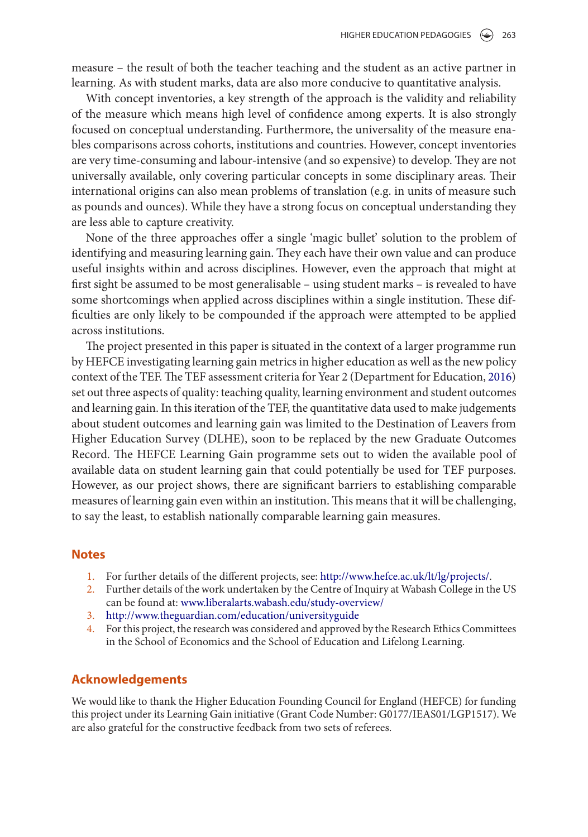measure – the result of both the teacher teaching and the student as an active partner in learning. As with student marks, data are also more conducive to quantitative analysis.

With concept inventories, a key strength of the approach is the validity and reliability of the measure which means high level of confidence among experts. It is also strongly focused on conceptual understanding. Furthermore, the universality of the measure enables comparisons across cohorts, institutions and countries. However, concept inventories are very time-consuming and labour-intensive (and so expensive) to develop. They are not universally available, only covering particular concepts in some disciplinary areas. Their international origins can also mean problems of translation (e.g. in units of measure such as pounds and ounces). While they have a strong focus on conceptual understanding they are less able to capture creativity.

None of the three approaches offer a single 'magic bullet' solution to the problem of identifying and measuring learning gain. They each have their own value and can produce useful insights within and across disciplines. However, even the approach that might at first sight be assumed to be most generalisable – using student marks – is revealed to have some shortcomings when applied across disciplines within a single institution. These difficulties are only likely to be compounded if the approach were attempted to be applied across institutions.

<span id="page-15-4"></span>The project presented in this paper is situated in the context of a larger programme run by HEFCE investigating learning gain metrics in higher education as well as the new policy context of the TEF. The TEF assessment criteria for Year 2 (Department for Education, [2016\)](#page-16-18) set out three aspects of quality: teaching quality, learning environment and student outcomes and learning gain. In this iteration of the TEF, the quantitative data used to make judgements about student outcomes and learning gain was limited to the Destination of Leavers from Higher Education Survey (DLHE), soon to be replaced by the new Graduate Outcomes Record. The HEFCE Learning Gain programme sets out to widen the available pool of available data on student learning gain that could potentially be used for TEF purposes. However, as our project shows, there are significant barriers to establishing comparable measures of learning gain even within an institution. This means that it will be challenging, to say the least, to establish nationally comparable learning gain measures.

# **Notes**

- <span id="page-15-0"></span>1. For further details of the different projects, see: [http://www.hefce.ac.uk/lt/lg/projects/.](http://www.hefce.ac.uk/lt/lg/projects/)
- <span id="page-15-1"></span>2. Further details of the work undertaken by the Centre of Inquiry at Wabash College in the US can be found at: [www.liberalarts.wabash.edu/study-overview/](http://www.liberalarts.wabash.edu/study-overview/)
- <span id="page-15-2"></span>3. <http://www.theguardian.com/education/universityguide>
- <span id="page-15-3"></span>4. For this project, the research was considered and approved by the Research Ethics Committees in the School of Economics and the School of Education and Lifelong Learning.

# **Acknowledgements**

We would like to thank the Higher Education Founding Council for England (HEFCE) for funding this project under its Learning Gain initiative (Grant Code Number: G0177/IEAS01/LGP1517). We are also grateful for the constructive feedback from two sets of referees.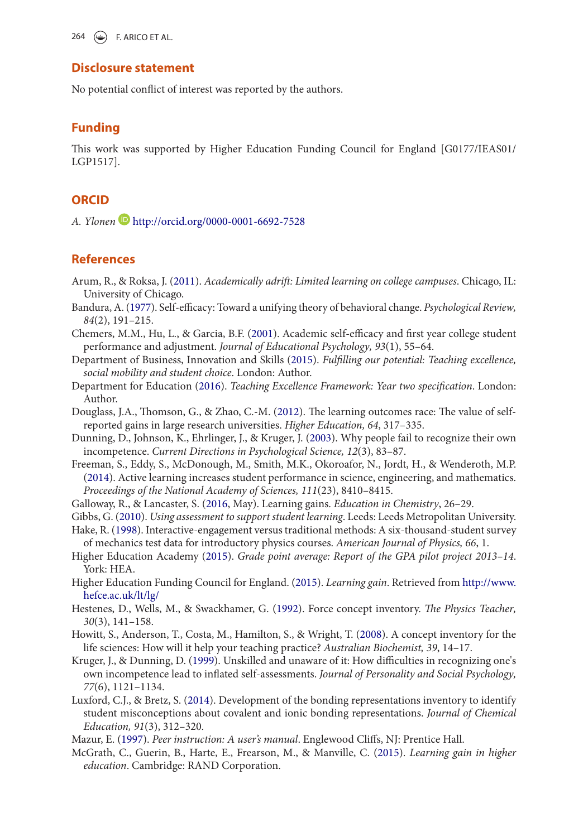264  $\bigodot$  F. ARICO ET AL.

# **Disclosure statement**

No potential conflict of interest was reported by the authors.

# **Funding**

This work was supported by Higher Education Funding Council for England [G0177/IEAS01/ LGP1517].

# **ORCID**

*A. Ylone[n](http://orcid.org)*  <http://orcid.org/0000-0001-6692-7528>

# **References**

- <span id="page-16-1"></span>Arum, R., & Roksa, J. ([2011\)](#page-2-0). *Academically adrift: Limited learning on college campuses*. Chicago, IL: University of Chicago.
- <span id="page-16-7"></span>Bandura, A. ([1977\)](#page-8-0). Self-efficacy: Toward a unifying theory of behavioral change. *Psychological Review, 84*(2), 191–215.
- <span id="page-16-8"></span>Chemers, M.M., Hu, L., & Garcia, B.F. ([2001](#page-8-1)). Academic self-efficacy and first year college student performance and adjustment. *Journal of Educational Psychology, 93*(1), 55–64.
- <span id="page-16-0"></span>Department of Business, Innovation and Skills [\(2015](#page-1-5)). *Fulfilling our potential: Teaching excellence, social mobility and student choice*. London: Author.
- <span id="page-16-18"></span>Department for Education ([2016](#page-15-4)). *Teaching Excellence Framework: Year two specification*. London: Author.
- <span id="page-16-4"></span>Douglass, J.A., Thomson, G., & Zhao, C.-M. ([2012](#page-3-0)). The learning outcomes race: The value of selfreported gains in large research universities. *Higher Education, 64*, 317–335.
- <span id="page-16-9"></span>Dunning, D., Johnson, K., Ehrlinger, J., & Kruger, J. ([2003](#page-9-0)). Why people fail to recognize their own incompetence. *Current Directions in Psychological Science, 12*(3), 83–87.
- <span id="page-16-14"></span>Freeman, S., Eddy, S., McDonough, M., Smith, M.K., Okoroafor, N., Jordt, H., & Wenderoth, M.P. [\(2014\)](#page-11-0). Active learning increases student performance in science, engineering, and mathematics. *Proceedings of the National Academy of Sciences, 111*(23), 8410–8415.
- <span id="page-16-13"></span>Galloway, R., & Lancaster, S. ([2016](#page-11-1), May). Learning gains. *Education in Chemistry*, 26–29.
- <span id="page-16-6"></span>Gibbs, G. [\(2010](#page-6-0)). *Using assessment to support student learning*. Leeds: Leeds Metropolitan University.
- <span id="page-16-15"></span>Hake, R. ([1998](#page-11-2)). Interactive-engagement versus traditional methods: A six-thousand-student survey of mechanics test data for introductory physics courses. *American Journal of Physics, 66*, 1.
- <span id="page-16-5"></span>Higher Education Academy ([2015\)](#page-4-0). *Grade point average: Report of the GPA pilot project 2013–14*. York: HEA.
- <span id="page-16-2"></span>Higher Education Funding Council for England. ([2015](#page-2-1)). *Learning gain*. Retrieved from [http://www.](http://www.hefce.ac.uk/lt/lg/) [hefce.ac.uk/lt/lg/](http://www.hefce.ac.uk/lt/lg/)
- <span id="page-16-12"></span>Hestenes, D., Wells, M., & Swackhamer, G. [\(1992](#page-10-0)). Force concept inventory. *The Physics Teacher, 30*(3), 141–158.
- <span id="page-16-17"></span>Howitt, S., Anderson, T., Costa, M., Hamilton, S., & Wright, T. [\(2008](#page-12-0)). A concept inventory for the life sciences: How will it help your teaching practice? *Australian Biochemist, 39*, 14–17.
- <span id="page-16-10"></span>Kruger, J., & Dunning, D. [\(1999\)](#page-9-1). Unskilled and unaware of it: How difficulties in recognizing one's own incompetence lead to inflated self-assessments. *Journal of Personality and Social Psychology, 77*(6), 1121–1134.
- <span id="page-16-16"></span>Luxford, C.J., & Bretz, S. ([2014\)](#page-12-1). Development of the bonding representations inventory to identify student misconceptions about covalent and ionic bonding representations. *Journal of Chemical Education, 91*(3), 312–320.
- <span id="page-16-11"></span>Mazur, E. ([1997\)](#page-10-1). *Peer instruction: A user's manual*. Englewood Cliffs, NJ: Prentice Hall.
- <span id="page-16-3"></span>McGrath, C., Guerin, B., Harte, E., Frearson, M., & Manville, C. ([2015](#page-2-2)). *Learning gain in higher education*. Cambridge: RAND Corporation.